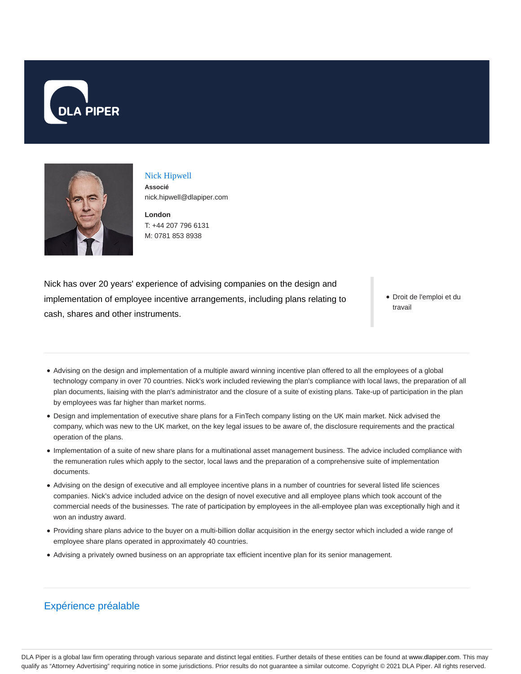



## Nick Hipwell **Associé** nick.hipwell@dlapiper.com

**London** T: +44 207 796 6131 M: 0781 853 8938

Nick has over 20 years' experience of advising companies on the design and implementation of employee incentive arrangements, including plans relating to cash, shares and other instruments.

Droit de l'emploi et du travail

- Advising on the design and implementation of a multiple award winning incentive plan offered to all the employees of a global technology company in over 70 countries. Nick's work included reviewing the plan's compliance with local laws, the preparation of all plan documents, liaising with the plan's administrator and the closure of a suite of existing plans. Take-up of participation in the plan by employees was far higher than market norms.
- Design and implementation of executive share plans for a FinTech company listing on the UK main market. Nick advised the company, which was new to the UK market, on the key legal issues to be aware of, the disclosure requirements and the practical operation of the plans.
- Implementation of a suite of new share plans for a multinational asset management business. The advice included compliance with the remuneration rules which apply to the sector, local laws and the preparation of a comprehensive suite of implementation documents.
- Advising on the design of executive and all employee incentive plans in a number of countries for several listed life sciences companies. Nick's advice included advice on the design of novel executive and all employee plans which took account of the commercial needs of the businesses. The rate of participation by employees in the all-employee plan was exceptionally high and it won an industry award.
- Providing share plans advice to the buyer on a multi-billion dollar acquisition in the energy sector which included a wide range of employee share plans operated in approximately 40 countries.
- Advising a privately owned business on an appropriate tax efficient incentive plan for its senior management.

## Expérience préalable

DLA Piper is a global law firm operating through various separate and distinct legal entities. Further details of these entities can be found at www.dlapiper.com. This may qualify as "Attorney Advertising" requiring notice in some jurisdictions. Prior results do not guarantee a similar outcome. Copyright @ 2021 DLA Piper. All rights reserved.